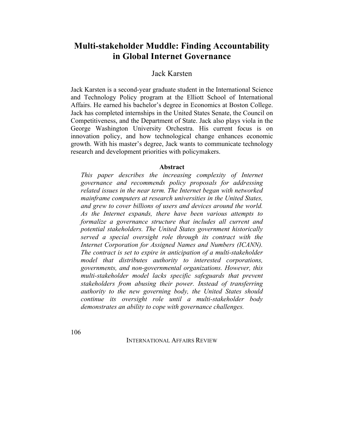# **Multi-stakeholder Muddle: Finding Accountability in Global Internet Governance**

# Jack Karsten

Jack Karsten is a second-year graduate student in the International Science and Technology Policy program at the Elliott School of International Affairs. He earned his bachelor's degree in Economics at Boston College. Jack has completed internships in the United States Senate, the Council on Competitiveness, and the Department of State. Jack also plays viola in the George Washington University Orchestra. His current focus is on innovation policy, and how technological change enhances economic growth. With his master's degree, Jack wants to communicate technology research and development priorities with policymakers.

#### **Abstract**

*This paper describes the increasing complexity of Internet governance and recommends policy proposals for addressing related issues in the near term. The Internet began with networked mainframe computers at research universities in the United States, and grew to cover billions of users and devices around the world. As the Internet expands, there have been various attempts to formalize a governance structure that includes all current and potential stakeholders. The United States government historically served a special oversight role through its contract with the Internet Corporation for Assigned Names and Numbers (ICANN). The contract is set to expire in anticipation of a multi-stakeholder model that distributes authority to interested corporations, governments, and non-governmental organizations. However, this multi-stakeholder model lacks specific safeguards that prevent stakeholders from abusing their power. Instead of transferring authority to the new governing body, the United States should continue its oversight role until a multi-stakeholder body demonstrates an ability to cope with governance challenges.*

106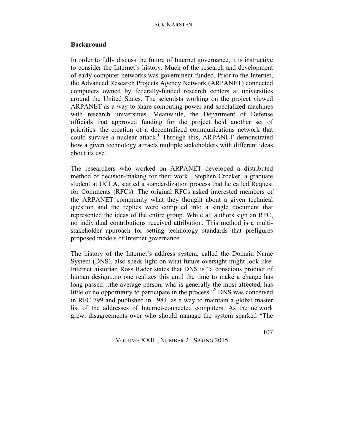#### **Background**

In order to fully discuss the future of Internet governance, it is instructive to consider the Internet's history. Much of the research and development of early computer networks was government-funded. Prior to the Internet, the Advanced Research Projects Agency Network (ARPANET) connected computers owned by federally-funded research centers at universities around the United States. The scientists working on the project viewed ARPANET as a way to share computing power and specialized machines with research universities. Meanwhile, the Department of Defense officials that approved funding for the project held another set of priorities: the creation of a decentralized communications network that could survive a nuclear attack.<sup>1</sup> Through this, ARPANET demonstrated how a given technology attracts multiple stakeholders with different ideas about its use.

The researchers who worked on ARPANET developed a distributed method of decision-making for their work. Stephen Crocker, a graduate student at UCLA, started a standardization process that he called Request for Comments (RFCs). The original RFCs asked interested members of the ARPANET community what they thought about a given technical question and the replies were compiled into a single document that represented the ideas of the entire group. While all authors sign an RFC, no individual contributions received attribution. This method is a multistakeholder approach for setting technology standards that prefigures proposed models of Internet governance.

The history of the Internet's address system, called the Domain Name System (DNS), also sheds light on what future oversight might look like. Internet historian Ross Rader states that DNS is "a conscious product of human design...no one realizes this until the time to make a change has long passed…the average person, who is generally the most affected, has little or no opportunity to participate in the process."<sup>2</sup> DNS was conceived in RFC 799 and published in 1981, as a way to maintain a global master list of the addresses of Internet-connected computers. As the network grew, disagreements over who should manage the system sparked "The

VOLUME XXIII, NUMBER 2 **·** SPRING 2015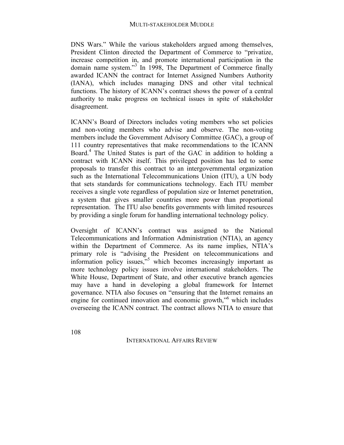DNS Wars." While the various stakeholders argued among themselves, President Clinton directed the Department of Commerce to "privatize, increase competition in, and promote international participation in the domain name system."<sup>3</sup> In 1998, The Department of Commerce finally awarded ICANN the contract for Internet Assigned Numbers Authority (IANA), which includes managing DNS and other vital technical functions. The history of ICANN's contract shows the power of a central authority to make progress on technical issues in spite of stakeholder disagreement.

ICANN's Board of Directors includes voting members who set policies and non-voting members who advise and observe. The non-voting members include the Government Advisory Committee (GAC), a group of 111 country representatives that make recommendations to the ICANN Board.<sup>4</sup> The United States is part of the GAC in addition to holding a contract with ICANN itself. This privileged position has led to some proposals to transfer this contract to an intergovernmental organization such as the International Telecommunications Union (ITU), a UN body that sets standards for communications technology. Each ITU member receives a single vote regardless of population size or Internet penetration, a system that gives smaller countries more power than proportional representation. The ITU also benefits governments with limited resources by providing a single forum for handling international technology policy.

Oversight of ICANN's contract was assigned to the National Telecommunications and Information Administration (NTIA), an agency within the Department of Commerce. As its name implies, NTIA's primary role is "advising the President on telecommunications and information policy issues,<sup>"5</sup> which becomes increasingly important as more technology policy issues involve international stakeholders. The White House, Department of State, and other executive branch agencies may have a hand in developing a global framework for Internet governance. NTIA also focuses on "ensuring that the Internet remains an engine for continued innovation and economic growth,<sup>"6</sup> which includes overseeing the ICANN contract. The contract allows NTIA to ensure that

108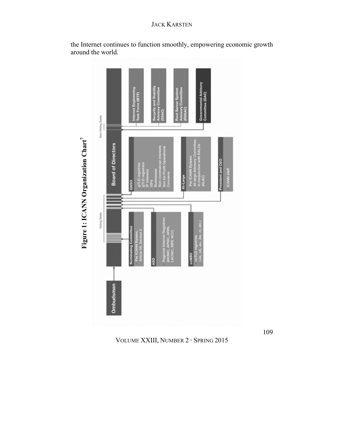

the Internet continues to function smoothly, empowering economic growth around the world.

VOLUME XXIII, NUMBER 2 **·** SPRING 2015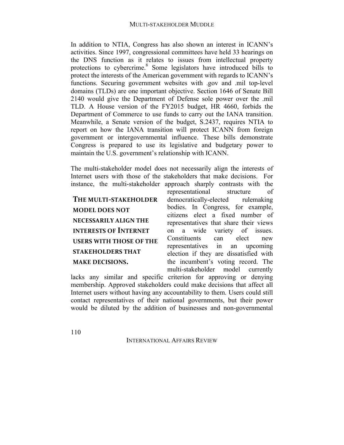In addition to NTIA, Congress has also shown an interest in ICANN's activities. Since 1997, congressional committees have held 33 hearings on the DNS function as it relates to issues from intellectual property protections to cybercrime.<sup>8</sup> Some legislators have introduced bills to protect the interests of the American government with regards to ICANN's functions. Securing government websites with .gov and .mil top-level domains (TLDs) are one important objective. Section 1646 of Senate Bill 2140 would give the Department of Defense sole power over the .mil TLD. A House version of the FY2015 budget, HR 4660, forbids the Department of Commerce to use funds to carry out the IANA transition. Meanwhile, a Senate version of the budget, S.2437, requires NTIA to report on how the IANA transition will protect ICANN from foreign government or intergovernmental influence. These bills demonstrate Congress is prepared to use its legislative and budgetary power to maintain the U.S. government's relationship with ICANN.

The multi-stakeholder model does not necessarily align the interests of Internet users with those of the stakeholders that make decisions. For instance, the multi-stakeholder approach sharply contrasts with the

THE MULTI-STAKEHOLDER **MODEL DOES NOT NECESSARILY ALIGN THE INTERESTS OF INTERNET USERS WITH THOSE OF THE STAKEHOLDERS THAT MAKE DECISIONS.** 

representational structure of democratically-elected rulemaking bodies. In Congress, for example, citizens elect a fixed number of representatives that share their views on a wide variety of issues. Constituents can elect new representatives in an upcoming election if they are dissatisfied with the incumbent's voting record. The multi-stakeholder model currently

lacks any similar and specific criterion for approving or denying membership. Approved stakeholders could make decisions that affect all Internet users without having any accountability to them. Users could still contact representatives of their national governments, but their power would be diluted by the addition of businesses and non-governmental

110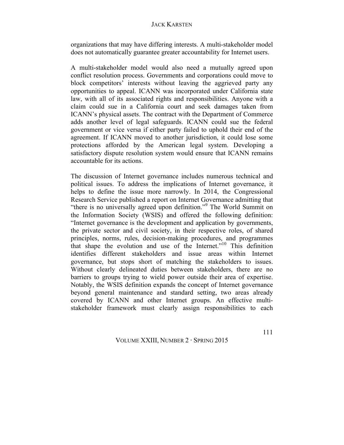organizations that may have differing interests. A multi-stakeholder model does not automatically guarantee greater accountability for Internet users.

A multi-stakeholder model would also need a mutually agreed upon conflict resolution process. Governments and corporations could move to block competitors' interests without leaving the aggrieved party any opportunities to appeal. ICANN was incorporated under California state law, with all of its associated rights and responsibilities. Anyone with a claim could sue in a California court and seek damages taken from ICANN's physical assets. The contract with the Department of Commerce adds another level of legal safeguards. ICANN could sue the federal government or vice versa if either party failed to uphold their end of the agreement. If ICANN moved to another jurisdiction, it could lose some protections afforded by the American legal system. Developing a satisfactory dispute resolution system would ensure that ICANN remains accountable for its actions.

The discussion of Internet governance includes numerous technical and political issues. To address the implications of Internet governance, it helps to define the issue more narrowly. In 2014, the Congressional Research Service published a report on Internet Governance admitting that "there is no universally agreed upon definition."<sup>9</sup> The World Summit on the Information Society (WSIS) and offered the following definition: "Internet governance is the development and application by governments, the private sector and civil society, in their respective roles, of shared principles, norms, rules, decision-making procedures, and programmes that shape the evolution and use of the Internet." <sup>10</sup> This definition identifies different stakeholders and issue areas within Internet governance, but stops short of matching the stakeholders to issues. Without clearly delineated duties between stakeholders, there are no barriers to groups trying to wield power outside their area of expertise. Notably, the WSIS definition expands the concept of Internet governance beyond general maintenance and standard setting, two areas already covered by ICANN and other Internet groups. An effective multistakeholder framework must clearly assign responsibilities to each

VOLUME XXIII, NUMBER 2 **·** SPRING 2015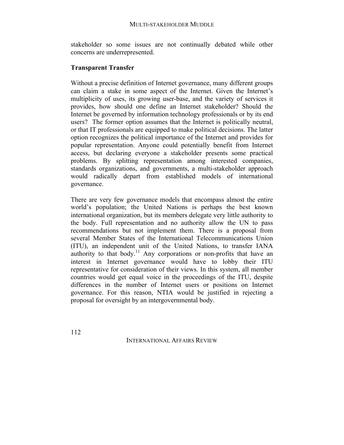stakeholder so some issues are not continually debated while other concerns are underrepresented.

## **Transparent Transfer**

Without a precise definition of Internet governance, many different groups can claim a stake in some aspect of the Internet. Given the Internet's multiplicity of uses, its growing user-base, and the variety of services it provides, how should one define an Internet stakeholder? Should the Internet be governed by information technology professionals or by its end users? The former option assumes that the Internet is politically neutral, or that IT professionals are equipped to make political decisions. The latter option recognizes the political importance of the Internet and provides for popular representation. Anyone could potentially benefit from Internet access, but declaring everyone a stakeholder presents some practical problems. By splitting representation among interested companies, standards organizations, and governments, a multi-stakeholder approach would radically depart from established models of international governance.

There are very few governance models that encompass almost the entire world's population; the United Nations is perhaps the best known international organization, but its members delegate very little authority to the body. Full representation and no authority allow the UN to pass recommendations but not implement them. There is a proposal from several Member States of the International Telecommunications Union (ITU), an independent unit of the United Nations, to transfer IANA authority to that body.<sup>11</sup> Any corporations or non-profits that have an interest in Internet governance would have to lobby their ITU representative for consideration of their views. In this system, all member countries would get equal voice in the proceedings of the ITU, despite differences in the number of Internet users or positions on Internet governance. For this reason, NTIA would be justified in rejecting a proposal for oversight by an intergovernmental body.

112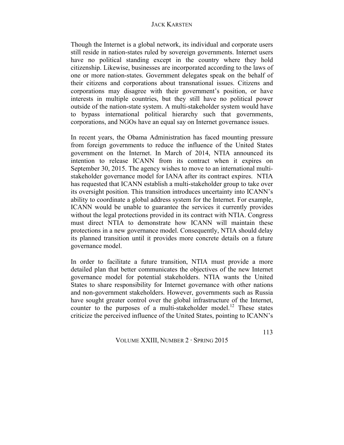Though the Internet is a global network, its individual and corporate users still reside in nation-states ruled by sovereign governments. Internet users have no political standing except in the country where they hold citizenship. Likewise, businesses are incorporated according to the laws of one or more nation-states. Government delegates speak on the behalf of their citizens and corporations about transnational issues. Citizens and corporations may disagree with their government's position, or have interests in multiple countries, but they still have no political power outside of the nation-state system. A multi-stakeholder system would have to bypass international political hierarchy such that governments, corporations, and NGOs have an equal say on Internet governance issues.

In recent years, the Obama Administration has faced mounting pressure from foreign governments to reduce the influence of the United States government on the Internet. In March of 2014, NTIA announced its intention to release ICANN from its contract when it expires on September 30, 2015. The agency wishes to move to an international multistakeholder governance model for IANA after its contract expires. NTIA has requested that ICANN establish a multi-stakeholder group to take over its oversight position. This transition introduces uncertainty into ICANN's ability to coordinate a global address system for the Internet. For example, ICANN would be unable to guarantee the services it currently provides without the legal protections provided in its contract with NTIA. Congress must direct NTIA to demonstrate how ICANN will maintain these protections in a new governance model. Consequently, NTIA should delay its planned transition until it provides more concrete details on a future governance model.

In order to facilitate a future transition, NTIA must provide a more detailed plan that better communicates the objectives of the new Internet governance model for potential stakeholders. NTIA wants the United States to share responsibility for Internet governance with other nations and non-government stakeholders. However, governments such as Russia have sought greater control over the global infrastructure of the Internet, counter to the purposes of a multi-stakeholder model.<sup>12</sup> These states criticize the perceived influence of the United States, pointing to ICANN's

VOLUME XXIII, NUMBER 2 **·** SPRING 2015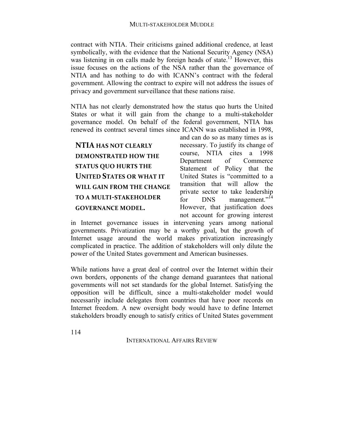contract with NTIA. Their criticisms gained additional credence, at least symbolically, with the evidence that the National Security Agency (NSA) was listening in on calls made by foreign heads of state.<sup>13</sup> However, this issue focuses on the actions of the NSA rather than the governance of NTIA and has nothing to do with ICANN's contract with the federal government. Allowing the contract to expire will not address the issues of privacy and government surveillance that these nations raise.

NTIA has not clearly demonstrated how the status quo hurts the United States or what it will gain from the change to a multi-stakeholder governance model. On behalf of the federal government, NTIA has renewed its contract several times since ICANN was established in 1998,

# **NTIA HAS NOT CLEARLY DEMONSTRATED HOW THE STATUS QUO HURTS THE UNITED STATES OR WHAT IT WILL GAIN FROM THE CHANGE TO A MULTI-STAKEHOLDER GOVERNANCE MODEL.**

and can do so as many times as is necessary. To justify its change of course, NTIA cites a 1998 Department of Commerce Statement of Policy that the United States is "committed to a transition that will allow the private sector to take leadership for  $DNS$  management."<sup>14</sup> However, that justification does not account for growing interest

in Internet governance issues in intervening years among national governments. Privatization may be a worthy goal, but the growth of Internet usage around the world makes privatization increasingly complicated in practice. The addition of stakeholders will only dilute the power of the United States government and American businesses.

While nations have a great deal of control over the Internet within their own borders, opponents of the change demand guarantees that national governments will not set standards for the global Internet. Satisfying the opposition will be difficult, since a multi-stakeholder model would necessarily include delegates from countries that have poor records on Internet freedom. A new oversight body would have to define Internet stakeholders broadly enough to satisfy critics of United States government

114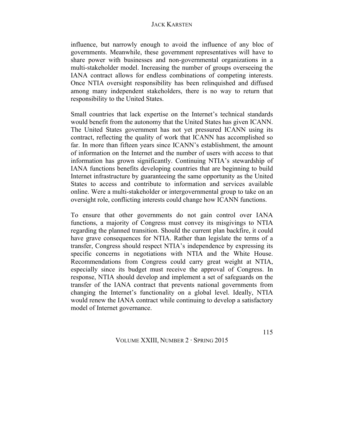influence, but narrowly enough to avoid the influence of any bloc of governments. Meanwhile, these government representatives will have to share power with businesses and non-governmental organizations in a multi-stakeholder model. Increasing the number of groups overseeing the IANA contract allows for endless combinations of competing interests. Once NTIA oversight responsibility has been relinquished and diffused among many independent stakeholders, there is no way to return that responsibility to the United States.

Small countries that lack expertise on the Internet's technical standards would benefit from the autonomy that the United States has given ICANN. The United States government has not yet pressured ICANN using its contract, reflecting the quality of work that ICANN has accomplished so far. In more than fifteen years since ICANN's establishment, the amount of information on the Internet and the number of users with access to that information has grown significantly. Continuing NTIA's stewardship of IANA functions benefits developing countries that are beginning to build Internet infrastructure by guaranteeing the same opportunity as the United States to access and contribute to information and services available online. Were a multi-stakeholder or intergovernmental group to take on an oversight role, conflicting interests could change how ICANN functions.

To ensure that other governments do not gain control over IANA functions, a majority of Congress must convey its misgivings to NTIA regarding the planned transition. Should the current plan backfire, it could have grave consequences for NTIA. Rather than legislate the terms of a transfer, Congress should respect NTIA's independence by expressing its specific concerns in negotiations with NTIA and the White House. Recommendations from Congress could carry great weight at NTIA, especially since its budget must receive the approval of Congress. In response, NTIA should develop and implement a set of safeguards on the transfer of the IANA contract that prevents national governments from changing the Internet's functionality on a global level. Ideally, NTIA would renew the IANA contract while continuing to develop a satisfactory model of Internet governance.

VOLUME XXIII, NUMBER 2 **·** SPRING 2015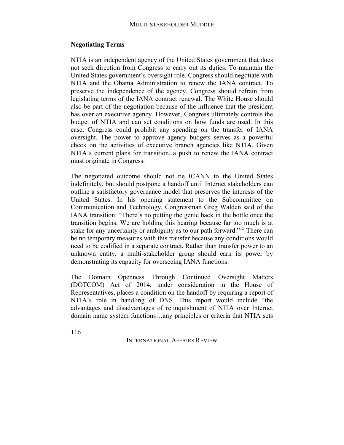## **Negotiating Terms**

NTIA is an independent agency of the United States government that does not seek direction from Congress to carry out its duties. To maintain the United States government's oversight role, Congress should negotiate with NTIA and the Obama Administration to renew the IANA contract. To preserve the independence of the agency, Congress should refrain from legislating terms of the IANA contract renewal. The White House should also be part of the negotiation because of the influence that the president has over an executive agency. However, Congress ultimately controls the budget of NTIA and can set conditions on how funds are used. In this case, Congress could prohibit any spending on the transfer of IANA oversight. The power to approve agency budgets serves as a powerful check on the activities of executive branch agencies like NTIA. Given NTIA's current plans for transition, a push to renew the IANA contract must originate in Congress.

The negotiated outcome should not tie ICANN to the United States indefinitely, but should postpone a handoff until Internet stakeholders can outline a satisfactory governance model that preserves the interests of the United States. In his opening statement to the Subcommittee on Communication and Technology, Congressman Greg Walden said of the IANA transition: "There's no putting the genie back in the bottle once the transition begins. We are holding this hearing because far too much is at stake for any uncertainty or ambiguity as to our path forward."<sup>15</sup> There can be no temporary measures with this transfer because any conditions would need to be codified in a separate contract. Rather than transfer power to an unknown entity, a multi-stakeholder group should earn its power by demonstrating its capacity for overseeing IANA functions.

The Domain Openness Through Continued Oversight Matters (DOTCOM) Act of 2014, under consideration in the House of Representatives, places a condition on the handoff by requiring a report of NTIA's role in handling of DNS. This report would include "the advantages and disadvantages of relinquishment of NTIA over Internet domain name system functions…any principles or criteria that NTIA sets

116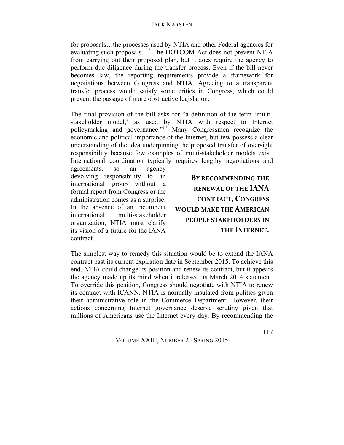for proposals…the processes used by NTIA and other Federal agencies for evaluating such proposals."16 The DOTCOM Act does not prevent NTIA from carrying out their proposed plan, but it does require the agency to perform due diligence during the transfer process. Even if the bill never becomes law, the reporting requirements provide a framework for negotiations between Congress and NTIA. Agreeing to a transparent transfer process would satisfy some critics in Congress, which could prevent the passage of more obstructive legislation.

The final provision of the bill asks for "a definition of the term 'multistakeholder model,' as used by NTIA with respect to Internet policymaking and governance."<sup>17</sup> Many Congressmen recognize the economic and political importance of the Internet, but few possess a clear understanding of the idea underpinning the proposed transfer of oversight responsibility because few examples of multi-stakeholder models exist. International coordination typically requires lengthy negotiations and

agreements, so an agency devolving responsibility to an international group without a formal report from Congress or the administration comes as a surprise. In the absence of an incumbent international multi-stakeholder organization, NTIA must clarify its vision of a future for the IANA contract.

BY RECOMMENDING THE **RENEWAL OF THE IANA CONTRACT, CONGRESS**  WOULD MAKE THE **AMERICAN PEOPLE STAKEHOLDERS IN THE INTERNET.** 

The simplest way to remedy this situation would be to extend the IANA contract past its current expiration date in September 2015. To achieve this end, NTIA could change its position and renew its contract, but it appears the agency made up its mind when it released its March 2014 statement. To override this position, Congress should negotiate with NTIA to renew its contract with ICANN. NTIA is normally insulated from politics given their administrative role in the Commerce Department. However, their actions concerning Internet governance deserve scrutiny given that millions of Americans use the Internet every day. By recommending the

VOLUME XXIII, NUMBER 2 **·** SPRING 2015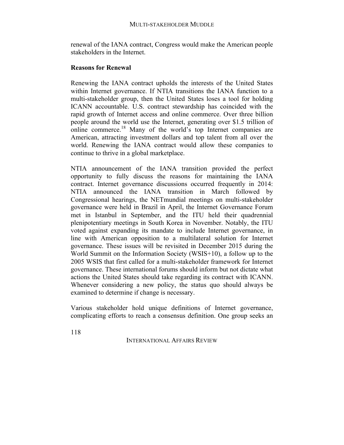renewal of the IANA contract, Congress would make the American people stakeholders in the Internet.

## **Reasons for Renewal**

Renewing the IANA contract upholds the interests of the United States within Internet governance. If NTIA transitions the IANA function to a multi-stakeholder group, then the United States loses a tool for holding ICANN accountable. U.S. contract stewardship has coincided with the rapid growth of Internet access and online commerce. Over three billion people around the world use the Internet, generating over \$1.5 trillion of online commerce.<sup>18</sup> Many of the world's top Internet companies are American, attracting investment dollars and top talent from all over the world. Renewing the IANA contract would allow these companies to continue to thrive in a global marketplace.

NTIA announcement of the IANA transition provided the perfect opportunity to fully discuss the reasons for maintaining the IANA contract. Internet governance discussions occurred frequently in 2014: NTIA announced the IANA transition in March followed by Congressional hearings, the NETmundial meetings on multi-stakeholder governance were held in Brazil in April, the Internet Governance Forum met in Istanbul in September, and the ITU held their quadrennial plenipotentiary meetings in South Korea in November. Notably, the ITU voted against expanding its mandate to include Internet governance, in line with American opposition to a multilateral solution for Internet governance. These issues will be revisited in December 2015 during the World Summit on the Information Society (WSIS+10), a follow up to the 2005 WSIS that first called for a multi-stakeholder framework for Internet governance. These international forums should inform but not dictate what actions the United States should take regarding its contract with ICANN. Whenever considering a new policy, the status quo should always be examined to determine if change is necessary.

Various stakeholder hold unique definitions of Internet governance, complicating efforts to reach a consensus definition. One group seeks an

118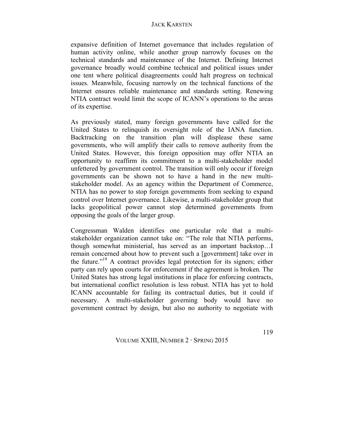expansive definition of Internet governance that includes regulation of human activity online, while another group narrowly focuses on the technical standards and maintenance of the Internet. Defining Internet governance broadly would combine technical and political issues under one tent where political disagreements could halt progress on technical issues. Meanwhile, focusing narrowly on the technical functions of the Internet ensures reliable maintenance and standards setting. Renewing NTIA contract would limit the scope of ICANN's operations to the areas of its expertise.

As previously stated, many foreign governments have called for the United States to relinquish its oversight role of the IANA function. Backtracking on the transition plan will displease these same governments, who will amplify their calls to remove authority from the United States. However, this foreign opposition may offer NTIA an opportunity to reaffirm its commitment to a multi-stakeholder model unfettered by government control. The transition will only occur if foreign governments can be shown not to have a hand in the new multistakeholder model. As an agency within the Department of Commerce, NTIA has no power to stop foreign governments from seeking to expand control over Internet governance. Likewise, a multi-stakeholder group that lacks geopolitical power cannot stop determined governments from opposing the goals of the larger group.

Congressman Walden identifies one particular role that a multistakeholder organization cannot take on: "The role that NTIA performs, though somewhat ministerial, has served as an important backstop…I remain concerned about how to prevent such a [government] take over in the future."<sup>19</sup> A contract provides legal protection for its signers; either party can rely upon courts for enforcement if the agreement is broken. The United States has strong legal institutions in place for enforcing contracts, but international conflict resolution is less robust. NTIA has yet to hold ICANN accountable for failing its contractual duties, but it could if necessary. A multi-stakeholder governing body would have no government contract by design, but also no authority to negotiate with

VOLUME XXIII, NUMBER 2 **·** SPRING 2015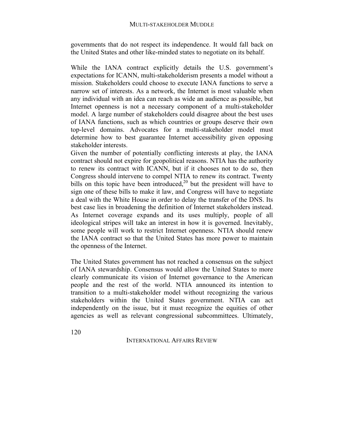governments that do not respect its independence. It would fall back on the United States and other like-minded states to negotiate on its behalf.

While the IANA contract explicitly details the U.S. government's expectations for ICANN, multi-stakeholderism presents a model without a mission. Stakeholders could choose to execute IANA functions to serve a narrow set of interests. As a network, the Internet is most valuable when any individual with an idea can reach as wide an audience as possible, but Internet openness is not a necessary component of a multi-stakeholder model. A large number of stakeholders could disagree about the best uses of IANA functions, such as which countries or groups deserve their own top-level domains. Advocates for a multi-stakeholder model must determine how to best guarantee Internet accessibility given opposing stakeholder interests.

Given the number of potentially conflicting interests at play, the IANA contract should not expire for geopolitical reasons. NTIA has the authority to renew its contract with ICANN, but if it chooses not to do so, then Congress should intervene to compel NTIA to renew its contract. Twenty bills on this topic have been introduced,<sup>20</sup> but the president will have to sign one of these bills to make it law, and Congress will have to negotiate a deal with the White House in order to delay the transfer of the DNS. Its best case lies in broadening the definition of Internet stakeholders instead. As Internet coverage expands and its uses multiply, people of all ideological stripes will take an interest in how it is governed. Inevitably, some people will work to restrict Internet openness. NTIA should renew the IANA contract so that the United States has more power to maintain the openness of the Internet.

The United States government has not reached a consensus on the subject of IANA stewardship. Consensus would allow the United States to more clearly communicate its vision of Internet governance to the American people and the rest of the world. NTIA announced its intention to transition to a multi-stakeholder model without recognizing the various stakeholders within the United States government. NTIA can act independently on the issue, but it must recognize the equities of other agencies as well as relevant congressional subcommittees. Ultimately,

120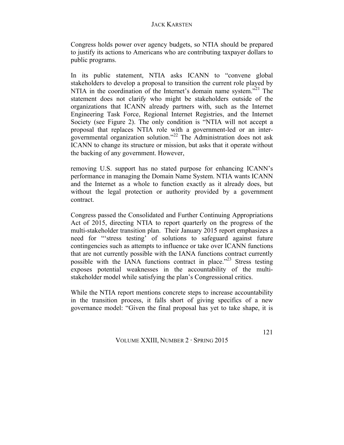Congress holds power over agency budgets, so NTIA should be prepared to justify its actions to Americans who are contributing taxpayer dollars to public programs.

In its public statement, NTIA asks ICANN to "convene global stakeholders to develop a proposal to transition the current role played by NTIA in the coordination of the Internet's domain name system."<sup>21</sup> The statement does not clarify who might be stakeholders outside of the organizations that ICANN already partners with, such as the Internet Engineering Task Force, Regional Internet Registries, and the Internet Society (see Figure 2). The only condition is "NTIA will not accept a proposal that replaces NTIA role with a government-led or an intergovernmental organization solution."<sup>22</sup> The Administration does not ask ICANN to change its structure or mission, but asks that it operate without the backing of any government. However,

removing U.S. support has no stated purpose for enhancing ICANN's performance in managing the Domain Name System. NTIA wants ICANN and the Internet as a whole to function exactly as it already does, but without the legal protection or authority provided by a government contract.

Congress passed the Consolidated and Further Continuing Appropriations Act of 2015, directing NTIA to report quarterly on the progress of the multi-stakeholder transition plan. Their January 2015 report emphasizes a need for "'stress testing' of solutions to safeguard against future contingencies such as attempts to influence or take over ICANN functions that are not currently possible with the IANA functions contract currently possible with the IANA functions contract in place."<sup>23</sup> Stress testing exposes potential weaknesses in the accountability of the multistakeholder model while satisfying the plan's Congressional critics.

While the NTIA report mentions concrete steps to increase accountability in the transition process, it falls short of giving specifics of a new governance model: "Given the final proposal has yet to take shape, it is

VOLUME XXIII, NUMBER 2 **·** SPRING 2015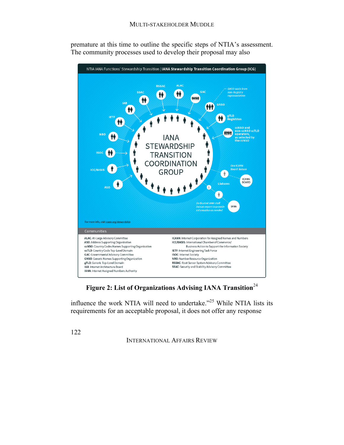

premature at this time to outline the specific steps of NTIA's assessment. The community processes used to develop their proposal may also

Figure 2: List of Organizations Advising IANA Transition<sup>24</sup>

influence the work NTIA will need to undertake."<sup>25</sup> While NTIA lists its requirements for an acceptable proposal, it does not offer any response

122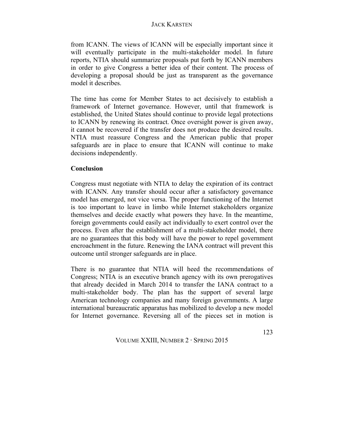from ICANN. The views of ICANN will be especially important since it will eventually participate in the multi-stakeholder model. In future reports, NTIA should summarize proposals put forth by ICANN members in order to give Congress a better idea of their content. The process of developing a proposal should be just as transparent as the governance model it describes.

The time has come for Member States to act decisively to establish a framework of Internet governance. However, until that framework is established, the United States should continue to provide legal protections to ICANN by renewing its contract. Once oversight power is given away, it cannot be recovered if the transfer does not produce the desired results. NTIA must reassure Congress and the American public that proper safeguards are in place to ensure that ICANN will continue to make decisions independently.

## **Conclusion**

Congress must negotiate with NTIA to delay the expiration of its contract with ICANN. Any transfer should occur after a satisfactory governance model has emerged, not vice versa. The proper functioning of the Internet is too important to leave in limbo while Internet stakeholders organize themselves and decide exactly what powers they have. In the meantime, foreign governments could easily act individually to exert control over the process. Even after the establishment of a multi-stakeholder model, there are no guarantees that this body will have the power to repel government encroachment in the future. Renewing the IANA contract will prevent this outcome until stronger safeguards are in place.

There is no guarantee that NTIA will heed the recommendations of Congress; NTIA is an executive branch agency with its own prerogatives that already decided in March 2014 to transfer the IANA contract to a multi-stakeholder body. The plan has the support of several large American technology companies and many foreign governments. A large international bureaucratic apparatus has mobilized to develop a new model for Internet governance. Reversing all of the pieces set in motion is

VOLUME XXIII, NUMBER 2 **·** SPRING 2015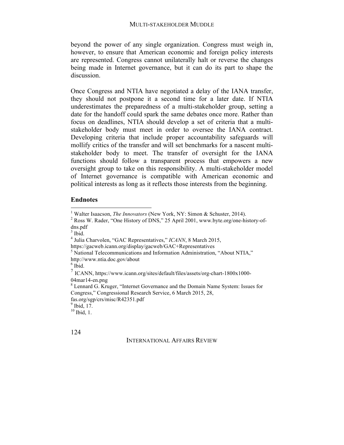beyond the power of any single organization. Congress must weigh in, however, to ensure that American economic and foreign policy interests are represented. Congress cannot unilaterally halt or reverse the changes being made in Internet governance, but it can do its part to shape the discussion.

Once Congress and NTIA have negotiated a delay of the IANA transfer, they should not postpone it a second time for a later date. If NTIA underestimates the preparedness of a multi-stakeholder group, setting a date for the handoff could spark the same debates once more. Rather than focus on deadlines, NTIA should develop a set of criteria that a multistakeholder body must meet in order to oversee the IANA contract. Developing criteria that include proper accountability safeguards will mollify critics of the transfer and will set benchmarks for a nascent multistakeholder body to meet. The transfer of oversight for the IANA functions should follow a transparent process that empowers a new oversight group to take on this responsibility. A multi-stakeholder model of Internet governance is compatible with American economic and political interests as long as it reflects those interests from the beginning.

#### **Endnotes**

fas.org/sgp/crs/misc/R42351.pdf

<u> 1989 - Johann Stein, fransk politik (d. 1989)</u>

 $<sup>9</sup>$  Ibid, 17.</sup>

 $10$  Ibid, 1.

124

<sup>&</sup>lt;sup>1</sup> Walter Isaacson, *The Innovators* (New York, NY: Simon & Schuster, 2014).<br><sup>2</sup> Ross W. Rader, "One History of DNS," 25 April 2001, www.byte.org/one-history-ofdns.pdf

 $3$  Ibid.

<sup>&</sup>lt;sup>4</sup> Julia Charvolen, "GAC Representatives," *ICANN*, 8 March 2015, https://gacweb.icann.org/display/gacweb/GAC+Representatives

 $<sup>5</sup>$  National Telecommunications and Information Administration, "About NTIA,"</sup> http://www.ntia.doc.gov/about

 $^6$ Ibid.

<sup>7</sup> ICANN, https://www.icann.org/sites/default/files/assets/org-chart-1800x1000- 04mar14-en.png<br><sup>8</sup> Lennard G. Kruger, "Internet Governance and the Domain Name System: Issues for

Congress," Congressional Research Service, 6 March 2015, 28,